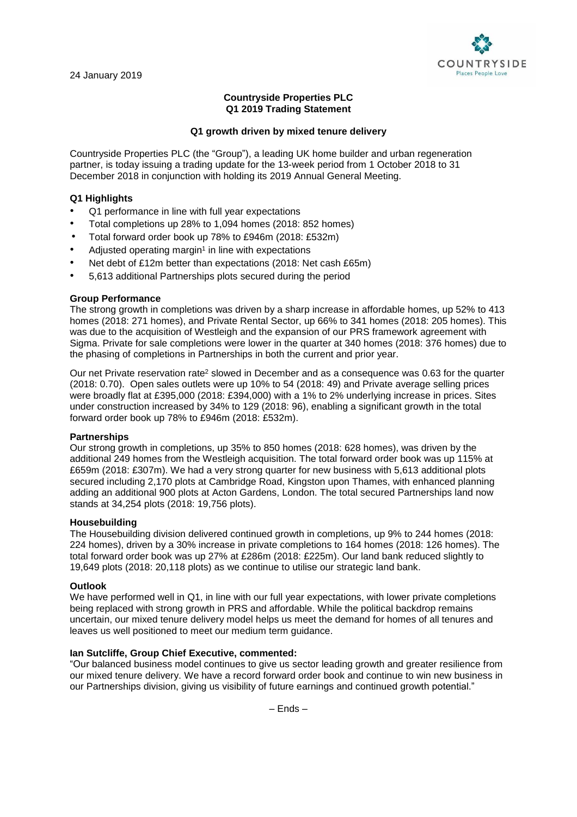

## **Countryside Properties PLC Q1 2019 Trading Statement**

## **Q1 growth driven by mixed tenure delivery**

Countryside Properties PLC (the "Group"), a leading UK home builder and urban regeneration partner, is today issuing a trading update for the 13-week period from 1 October 2018 to 31 December 2018 in conjunction with holding its 2019 Annual General Meeting.

# **Q1 Highlights**

- Q1 performance in line with full year expectations
- Total completions up 28% to 1,094 homes (2018: 852 homes)
- Total forward order book up 78% to £946m (2018: £532m)
- Adjusted operating margin<sup>1</sup> in line with expectations
- Net debt of £12m better than expectations (2018: Net cash £65m)
- 5,613 additional Partnerships plots secured during the period

### **Group Performance**

The strong growth in completions was driven by a sharp increase in affordable homes, up 52% to 413 homes (2018: 271 homes), and Private Rental Sector, up 66% to 341 homes (2018: 205 homes). This was due to the acquisition of Westleigh and the expansion of our PRS framework agreement with Sigma. Private for sale completions were lower in the quarter at 340 homes (2018: 376 homes) due to the phasing of completions in Partnerships in both the current and prior year.

Our net Private reservation rate<sup>2</sup> slowed in December and as a consequence was 0.63 for the quarter (2018: 0.70). Open sales outlets were up 10% to 54 (2018: 49) and Private average selling prices were broadly flat at £395,000 (2018: £394,000) with a 1% to 2% underlying increase in prices. Sites under construction increased by 34% to 129 (2018: 96), enabling a significant growth in the total forward order book up 78% to £946m (2018: £532m).

### **Partnerships**

Our strong growth in completions, up 35% to 850 homes (2018: 628 homes), was driven by the additional 249 homes from the Westleigh acquisition. The total forward order book was up 115% at £659m (2018: £307m). We had a very strong quarter for new business with 5,613 additional plots secured including 2,170 plots at Cambridge Road, Kingston upon Thames, with enhanced planning adding an additional 900 plots at Acton Gardens, London. The total secured Partnerships land now stands at 34,254 plots (2018: 19,756 plots).

### **Housebuilding**

The Housebuilding division delivered continued growth in completions, up 9% to 244 homes (2018: 224 homes), driven by a 30% increase in private completions to 164 homes (2018: 126 homes). The total forward order book was up 27% at £286m (2018: £225m). Our land bank reduced slightly to 19,649 plots (2018: 20,118 plots) as we continue to utilise our strategic land bank.

### **Outlook**

We have performed well in Q1, in line with our full year expectations, with lower private completions being replaced with strong growth in PRS and affordable. While the political backdrop remains uncertain, our mixed tenure delivery model helps us meet the demand for homes of all tenures and leaves us well positioned to meet our medium term guidance.

### **Ian Sutcliffe, Group Chief Executive, commented:**

"Our balanced business model continues to give us sector leading growth and greater resilience from our mixed tenure delivery. We have a record forward order book and continue to win new business in our Partnerships division, giving us visibility of future earnings and continued growth potential."